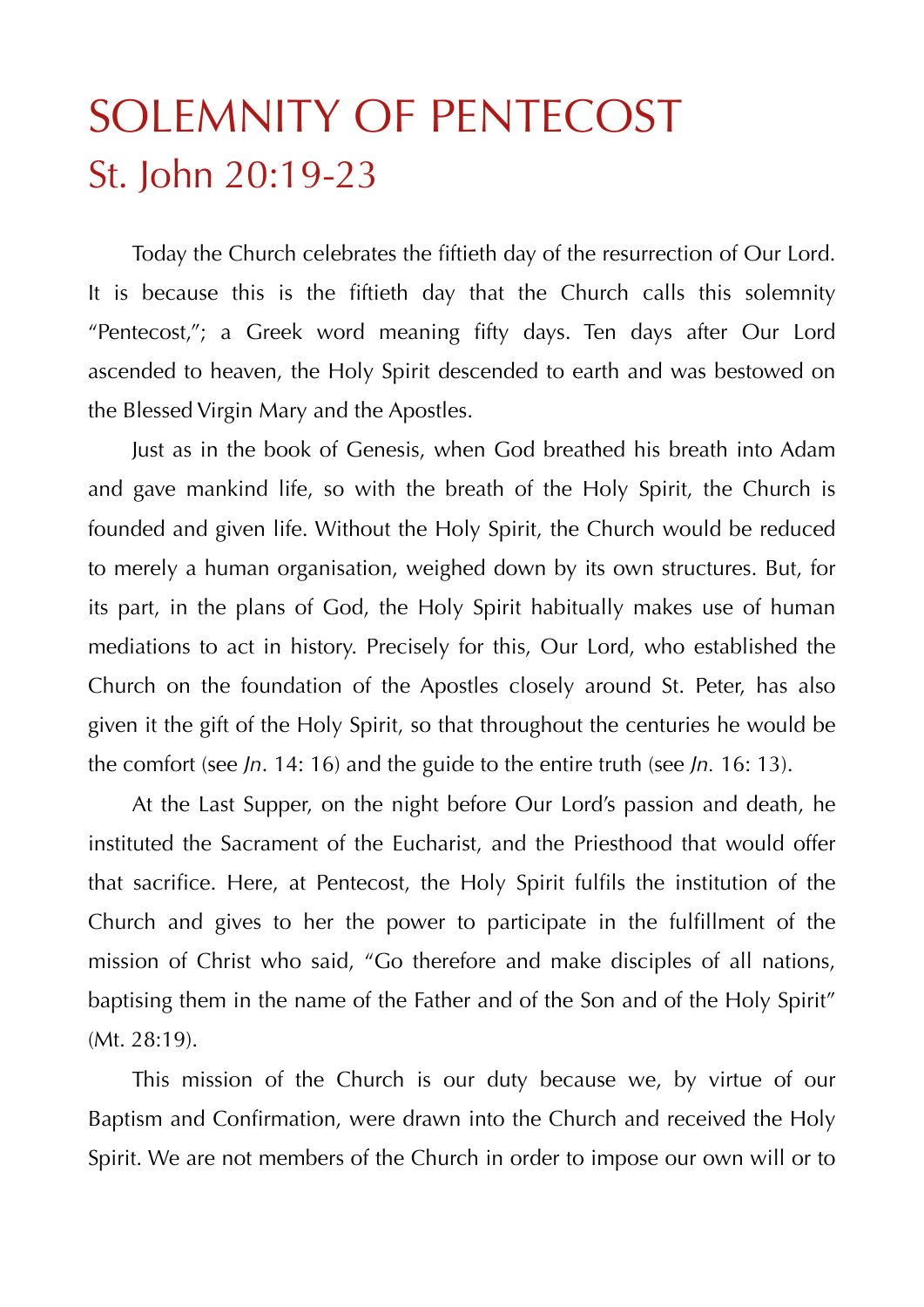## SOLEMNITY OF PENTECOST St. John 20:19-23

 Today the Church celebrates the fiftieth day of the resurrection of Our Lord. It is because this is the fiftieth day that the Church calls this solemnity "Pentecost,"; a Greek word meaning fifty days. Ten days after Our Lord ascended to heaven, the Holy Spirit descended to earth and was bestowed on the Blessed Virgin Mary and the Apostles.

 Just as in the book of Genesis, when God breathed his breath into Adam and gave mankind life, so with the breath of the Holy Spirit, the Church is founded and given life. Without the Holy Spirit, the Church would be reduced to merely a human organisation, weighed down by its own structures. But, for its part, in the plans of God, the Holy Spirit habitually makes use of human mediations to act in history. Precisely for this, Our Lord, who established the Church on the foundation of the Apostles closely around St. Peter, has also given it the gift of the Holy Spirit, so that throughout the centuries he would be the comfort (see *Jn*. 14: 16) and the guide to the entire truth (see *Jn.* 16: 13).

 At the Last Supper, on the night before Our Lord's passion and death, he instituted the Sacrament of the Eucharist, and the Priesthood that would offer that sacrifice. Here, at Pentecost, the Holy Spirit fulfils the institution of the Church and gives to her the power to participate in the fulfillment of the mission of Christ who said, "Go therefore and make disciples of all nations, baptising them in the name of the Father and of the Son and of the Holy Spirit" (Mt. 28:19).

 This mission of the Church is our duty because we, by virtue of our Baptism and Confirmation, were drawn into the Church and received the Holy Spirit. We are not members of the Church in order to impose our own will or to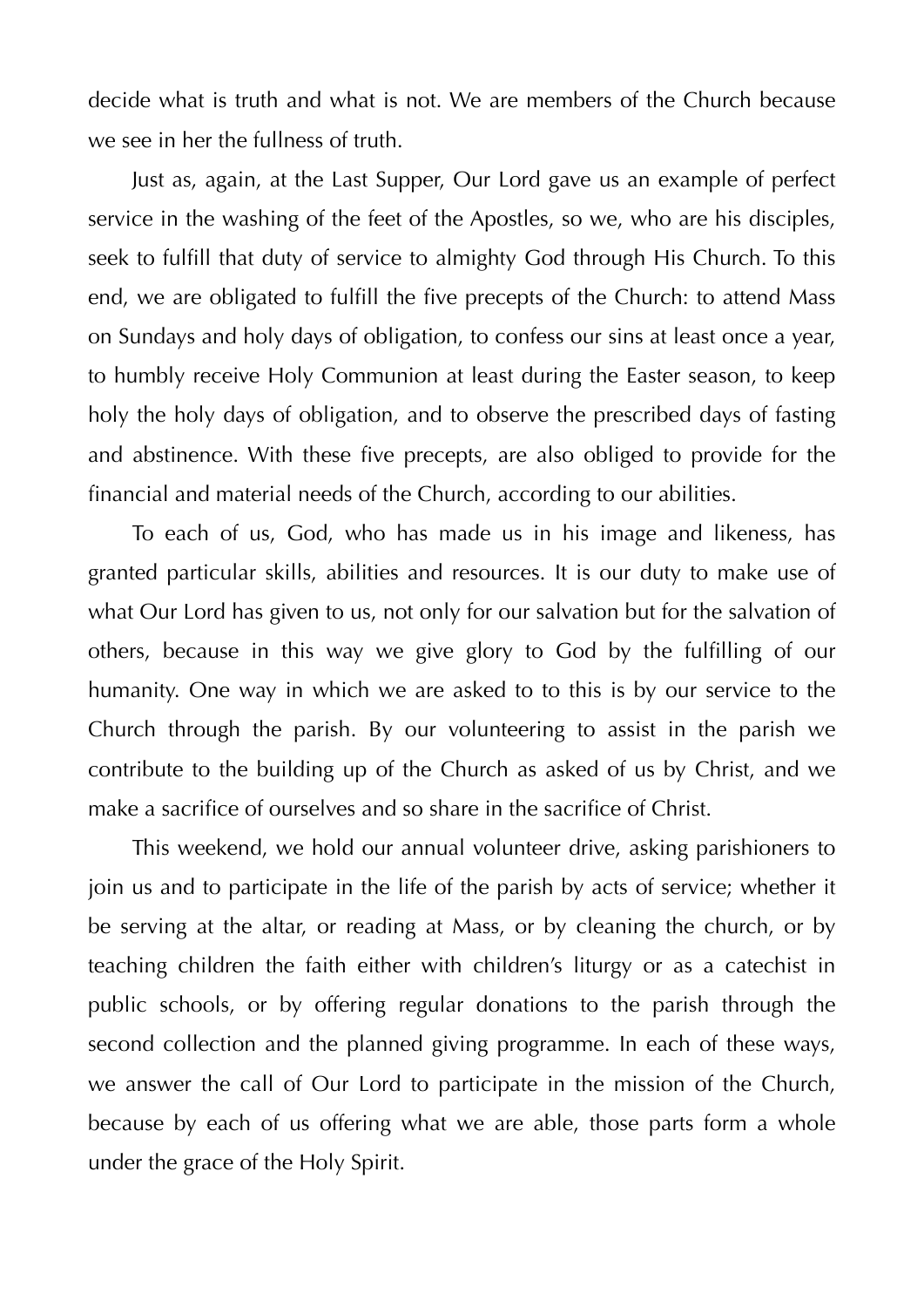decide what is truth and what is not. We are members of the Church because we see in her the fullness of truth.

 Just as, again, at the Last Supper, Our Lord gave us an example of perfect service in the washing of the feet of the Apostles, so we, who are his disciples, seek to fulfill that duty of service to almighty God through His Church. To this end, we are obligated to fulfill the five precepts of the Church: to attend Mass on Sundays and holy days of obligation, to confess our sins at least once a year, to humbly receive Holy Communion at least during the Easter season, to keep holy the holy days of obligation, and to observe the prescribed days of fasting and abstinence. With these five precepts, are also obliged to provide for the financial and material needs of the Church, according to our abilities.

 To each of us, God, who has made us in his image and likeness, has granted particular skills, abilities and resources. It is our duty to make use of what Our Lord has given to us, not only for our salvation but for the salvation of others, because in this way we give glory to God by the fulfilling of our humanity. One way in which we are asked to to this is by our service to the Church through the parish. By our volunteering to assist in the parish we contribute to the building up of the Church as asked of us by Christ, and we make a sacrifice of ourselves and so share in the sacrifice of Christ.

 This weekend, we hold our annual volunteer drive, asking parishioners to join us and to participate in the life of the parish by acts of service; whether it be serving at the altar, or reading at Mass, or by cleaning the church, or by teaching children the faith either with children's liturgy or as a catechist in public schools, or by offering regular donations to the parish through the second collection and the planned giving programme. In each of these ways, we answer the call of Our Lord to participate in the mission of the Church, because by each of us offering what we are able, those parts form a whole under the grace of the Holy Spirit.